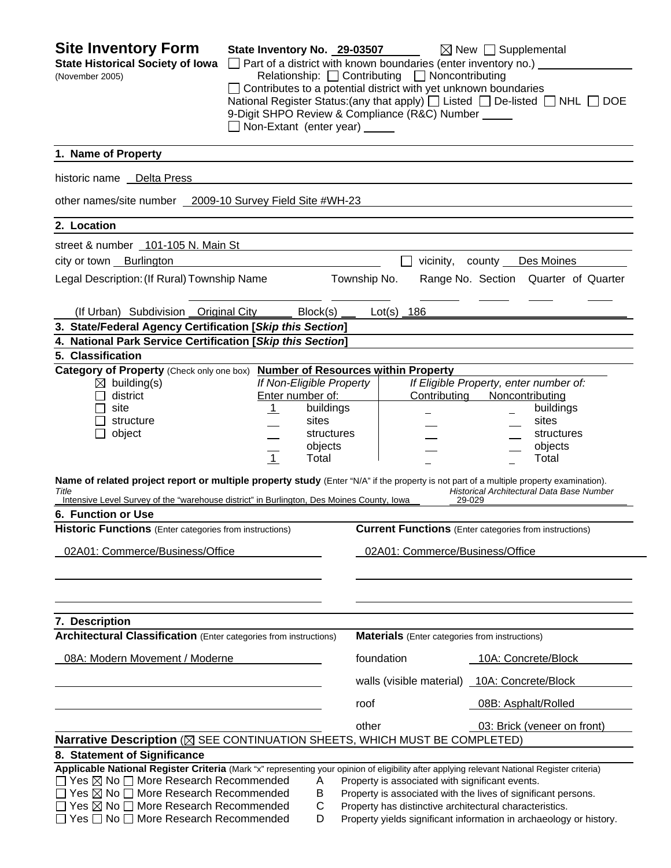| <b>Site Inventory Form</b><br><b>State Historical Society of Iowa</b><br>(November 2005)                                                                                                                                                                                                                                                                                                                           | State Inventory No. 29-03507<br>9-Digit SHPO Review & Compliance (R&C) Number _____<br>Non-Extant (enter year) _____                     | $\Box$ Part of a district with known boundaries (enter inventory no.) $\Box$<br>Relationship: □ Contributing □ Noncontributing<br>Contributes to a potential district with yet unknown boundaries | $\boxtimes$ New $\Box$ Supplemental<br>National Register Status: (any that apply) $\Box$ Listed $\Box$ De-listed $\Box$ NHL $\Box$ DOE                         |
|--------------------------------------------------------------------------------------------------------------------------------------------------------------------------------------------------------------------------------------------------------------------------------------------------------------------------------------------------------------------------------------------------------------------|------------------------------------------------------------------------------------------------------------------------------------------|---------------------------------------------------------------------------------------------------------------------------------------------------------------------------------------------------|----------------------------------------------------------------------------------------------------------------------------------------------------------------|
| 1. Name of Property                                                                                                                                                                                                                                                                                                                                                                                                |                                                                                                                                          |                                                                                                                                                                                                   |                                                                                                                                                                |
| historic name  Delta Press                                                                                                                                                                                                                                                                                                                                                                                         |                                                                                                                                          |                                                                                                                                                                                                   |                                                                                                                                                                |
| other names/site number 2009-10 Survey Field Site #WH-23                                                                                                                                                                                                                                                                                                                                                           |                                                                                                                                          |                                                                                                                                                                                                   |                                                                                                                                                                |
| 2. Location                                                                                                                                                                                                                                                                                                                                                                                                        |                                                                                                                                          |                                                                                                                                                                                                   |                                                                                                                                                                |
| street & number 101-105 N. Main St                                                                                                                                                                                                                                                                                                                                                                                 |                                                                                                                                          |                                                                                                                                                                                                   |                                                                                                                                                                |
| city or town Burlington                                                                                                                                                                                                                                                                                                                                                                                            |                                                                                                                                          |                                                                                                                                                                                                   | vicinity, county Des Moines                                                                                                                                    |
| Legal Description: (If Rural) Township Name                                                                                                                                                                                                                                                                                                                                                                        |                                                                                                                                          | Township No.                                                                                                                                                                                      | Range No. Section Quarter of Quarter                                                                                                                           |
| (If Urban) Subdivision Original City                                                                                                                                                                                                                                                                                                                                                                               | Block(s)                                                                                                                                 | Lot(s) $186$                                                                                                                                                                                      |                                                                                                                                                                |
| 3. State/Federal Agency Certification [Skip this Section]                                                                                                                                                                                                                                                                                                                                                          |                                                                                                                                          |                                                                                                                                                                                                   |                                                                                                                                                                |
| 4. National Park Service Certification [Skip this Section]                                                                                                                                                                                                                                                                                                                                                         |                                                                                                                                          |                                                                                                                                                                                                   |                                                                                                                                                                |
| 5. Classification<br>Category of Property (Check only one box) Number of Resources within Property                                                                                                                                                                                                                                                                                                                 |                                                                                                                                          |                                                                                                                                                                                                   |                                                                                                                                                                |
| $\boxtimes$ building(s)<br>district<br>site<br>structure<br>object<br>Name of related project report or multiple property study (Enter "N/A" if the property is not part of a multiple property examination).<br>Title                                                                                                                                                                                             | If Non-Eligible Property<br>Enter number of:<br>buildings<br>$\overline{1}$<br>sites<br>structures<br>objects<br>$\overline{1}$<br>Total | Contributing                                                                                                                                                                                      | If Eligible Property, enter number of:<br>Noncontributing<br>buildings<br>sites<br>structures<br>objects<br>Total<br>Historical Architectural Data Base Number |
| Intensive Level Survey of the "warehouse district" in Burlington, Des Moines County, Iowa                                                                                                                                                                                                                                                                                                                          |                                                                                                                                          | 29-029                                                                                                                                                                                            |                                                                                                                                                                |
| 6. Function or Use                                                                                                                                                                                                                                                                                                                                                                                                 |                                                                                                                                          |                                                                                                                                                                                                   |                                                                                                                                                                |
| <b>Historic Functions</b> (Enter categories from instructions)<br>02A01: Commerce/Business/Office                                                                                                                                                                                                                                                                                                                  |                                                                                                                                          | 02A01: Commerce/Business/Office                                                                                                                                                                   | <b>Current Functions</b> (Enter categories from instructions)                                                                                                  |
| 7. Description<br>Architectural Classification (Enter categories from instructions)                                                                                                                                                                                                                                                                                                                                |                                                                                                                                          | <b>Materials</b> (Enter categories from instructions)                                                                                                                                             |                                                                                                                                                                |
| 08A: Modern Movement / Moderne                                                                                                                                                                                                                                                                                                                                                                                     |                                                                                                                                          | foundation                                                                                                                                                                                        | 10A: Concrete/Block                                                                                                                                            |
|                                                                                                                                                                                                                                                                                                                                                                                                                    |                                                                                                                                          | walls (visible material) 10A: Concrete/Block                                                                                                                                                      |                                                                                                                                                                |
|                                                                                                                                                                                                                                                                                                                                                                                                                    |                                                                                                                                          | roof                                                                                                                                                                                              | 08B: Asphalt/Rolled                                                                                                                                            |
|                                                                                                                                                                                                                                                                                                                                                                                                                    |                                                                                                                                          | other                                                                                                                                                                                             | 03: Brick (veneer on front)                                                                                                                                    |
| Narrative Description ( $\boxtimes$ SEE CONTINUATION SHEETS, WHICH MUST BE COMPLETED)                                                                                                                                                                                                                                                                                                                              |                                                                                                                                          |                                                                                                                                                                                                   |                                                                                                                                                                |
| 8. Statement of Significance<br>Applicable National Register Criteria (Mark "x" representing your opinion of eligibility after applying relevant National Register criteria)<br>$Yes \boxtimes No \square$ More Research Recommended<br>Yes $\boxtimes$ No $\Box$ More Research Recommended<br>$\Box$ Yes $\boxtimes$ No $\Box$ More Research Recommended<br>$\Box$ Yes $\Box$ No $\Box$ More Research Recommended | A<br>В<br>С<br>D                                                                                                                         | Property is associated with significant events.<br>Property has distinctive architectural characteristics.                                                                                        | Property is associated with the lives of significant persons.<br>Property yields significant information in archaeology or history.                            |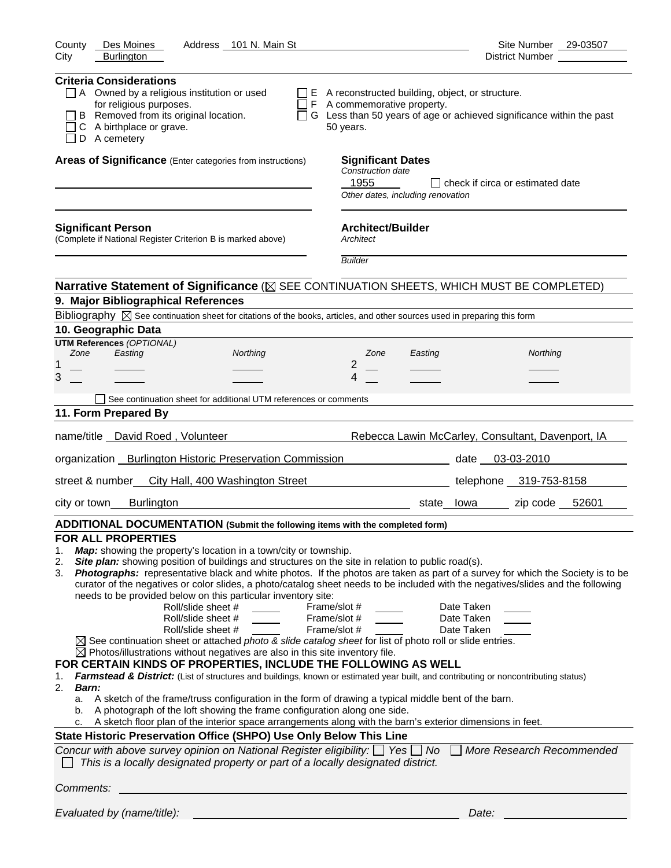| County<br>Des Moines<br>Address 101 N. Main St                                                                                                                                                                                                                                                                                                                                                                                                                                                                                                                                                                                                                                                                                                                                                                                                                                                                                                                                                                                                                                                                                                                                                                                                                                                                                                                                                                                                                                                                                                                                                                                                                                                  | Site Number 29-03507                                                        |
|-------------------------------------------------------------------------------------------------------------------------------------------------------------------------------------------------------------------------------------------------------------------------------------------------------------------------------------------------------------------------------------------------------------------------------------------------------------------------------------------------------------------------------------------------------------------------------------------------------------------------------------------------------------------------------------------------------------------------------------------------------------------------------------------------------------------------------------------------------------------------------------------------------------------------------------------------------------------------------------------------------------------------------------------------------------------------------------------------------------------------------------------------------------------------------------------------------------------------------------------------------------------------------------------------------------------------------------------------------------------------------------------------------------------------------------------------------------------------------------------------------------------------------------------------------------------------------------------------------------------------------------------------------------------------------------------------|-----------------------------------------------------------------------------|
| <b>Burlington</b><br>City                                                                                                                                                                                                                                                                                                                                                                                                                                                                                                                                                                                                                                                                                                                                                                                                                                                                                                                                                                                                                                                                                                                                                                                                                                                                                                                                                                                                                                                                                                                                                                                                                                                                       | District Number ___________                                                 |
| <b>Criteria Considerations</b><br>$\Box$ A Owned by a religious institution or used<br>$\Box$ E A reconstructed building, object, or structure.<br>for religious purposes.<br>$\Box$ F A commemorative property.<br>B Removed from its original location.<br>C A birthplace or grave.<br>50 years.<br>D A cemetery                                                                                                                                                                                                                                                                                                                                                                                                                                                                                                                                                                                                                                                                                                                                                                                                                                                                                                                                                                                                                                                                                                                                                                                                                                                                                                                                                                              | $\Box$ G Less than 50 years of age or achieved significance within the past |
| Areas of Significance (Enter categories from instructions)<br><b>Significant Dates</b><br><b>Construction date</b><br>1955<br>Other dates, including renovation                                                                                                                                                                                                                                                                                                                                                                                                                                                                                                                                                                                                                                                                                                                                                                                                                                                                                                                                                                                                                                                                                                                                                                                                                                                                                                                                                                                                                                                                                                                                 | $\Box$ check if circa or estimated date                                     |
| <b>Architect/Builder</b><br><b>Significant Person</b><br>(Complete if National Register Criterion B is marked above)<br>Architect<br><b>Builder</b>                                                                                                                                                                                                                                                                                                                                                                                                                                                                                                                                                                                                                                                                                                                                                                                                                                                                                                                                                                                                                                                                                                                                                                                                                                                                                                                                                                                                                                                                                                                                             |                                                                             |
|                                                                                                                                                                                                                                                                                                                                                                                                                                                                                                                                                                                                                                                                                                                                                                                                                                                                                                                                                                                                                                                                                                                                                                                                                                                                                                                                                                                                                                                                                                                                                                                                                                                                                                 |                                                                             |
| Narrative Statement of Significance ( $\boxtimes$ SEE CONTINUATION SHEETS, WHICH MUST BE COMPLETED)                                                                                                                                                                                                                                                                                                                                                                                                                                                                                                                                                                                                                                                                                                                                                                                                                                                                                                                                                                                                                                                                                                                                                                                                                                                                                                                                                                                                                                                                                                                                                                                             |                                                                             |
| 9. Major Bibliographical References                                                                                                                                                                                                                                                                                                                                                                                                                                                                                                                                                                                                                                                                                                                                                                                                                                                                                                                                                                                                                                                                                                                                                                                                                                                                                                                                                                                                                                                                                                                                                                                                                                                             |                                                                             |
| Bibliography $\boxtimes$ See continuation sheet for citations of the books, articles, and other sources used in preparing this form                                                                                                                                                                                                                                                                                                                                                                                                                                                                                                                                                                                                                                                                                                                                                                                                                                                                                                                                                                                                                                                                                                                                                                                                                                                                                                                                                                                                                                                                                                                                                             |                                                                             |
| 10. Geographic Data<br><b>UTM References (OPTIONAL)</b>                                                                                                                                                                                                                                                                                                                                                                                                                                                                                                                                                                                                                                                                                                                                                                                                                                                                                                                                                                                                                                                                                                                                                                                                                                                                                                                                                                                                                                                                                                                                                                                                                                         |                                                                             |
| Zone<br>Easting<br>Northing<br>Zone<br>Easting                                                                                                                                                                                                                                                                                                                                                                                                                                                                                                                                                                                                                                                                                                                                                                                                                                                                                                                                                                                                                                                                                                                                                                                                                                                                                                                                                                                                                                                                                                                                                                                                                                                  | Northing                                                                    |
| $\overline{2}$<br>1                                                                                                                                                                                                                                                                                                                                                                                                                                                                                                                                                                                                                                                                                                                                                                                                                                                                                                                                                                                                                                                                                                                                                                                                                                                                                                                                                                                                                                                                                                                                                                                                                                                                             |                                                                             |
| 3<br>4                                                                                                                                                                                                                                                                                                                                                                                                                                                                                                                                                                                                                                                                                                                                                                                                                                                                                                                                                                                                                                                                                                                                                                                                                                                                                                                                                                                                                                                                                                                                                                                                                                                                                          |                                                                             |
| See continuation sheet for additional UTM references or comments                                                                                                                                                                                                                                                                                                                                                                                                                                                                                                                                                                                                                                                                                                                                                                                                                                                                                                                                                                                                                                                                                                                                                                                                                                                                                                                                                                                                                                                                                                                                                                                                                                |                                                                             |
| 11. Form Prepared By                                                                                                                                                                                                                                                                                                                                                                                                                                                                                                                                                                                                                                                                                                                                                                                                                                                                                                                                                                                                                                                                                                                                                                                                                                                                                                                                                                                                                                                                                                                                                                                                                                                                            |                                                                             |
|                                                                                                                                                                                                                                                                                                                                                                                                                                                                                                                                                                                                                                                                                                                                                                                                                                                                                                                                                                                                                                                                                                                                                                                                                                                                                                                                                                                                                                                                                                                                                                                                                                                                                                 |                                                                             |
| name/title _David Roed, Volunteer                                                                                                                                                                                                                                                                                                                                                                                                                                                                                                                                                                                                                                                                                                                                                                                                                                                                                                                                                                                                                                                                                                                                                                                                                                                                                                                                                                                                                                                                                                                                                                                                                                                               | Rebecca Lawin McCarley, Consultant, Davenport, IA                           |
| organization _ Burlington Historic Preservation Commission                                                                                                                                                                                                                                                                                                                                                                                                                                                                                                                                                                                                                                                                                                                                                                                                                                                                                                                                                                                                                                                                                                                                                                                                                                                                                                                                                                                                                                                                                                                                                                                                                                      | date 03-03-2010                                                             |
| street & number<br>City Hall, 400 Washington Street                                                                                                                                                                                                                                                                                                                                                                                                                                                                                                                                                                                                                                                                                                                                                                                                                                                                                                                                                                                                                                                                                                                                                                                                                                                                                                                                                                                                                                                                                                                                                                                                                                             | telephone 319-753-8158                                                      |
| <b>Burlington</b><br>city or town                                                                                                                                                                                                                                                                                                                                                                                                                                                                                                                                                                                                                                                                                                                                                                                                                                                                                                                                                                                                                                                                                                                                                                                                                                                                                                                                                                                                                                                                                                                                                                                                                                                               | zip code 52601<br>state lowa                                                |
| ADDITIONAL DOCUMENTATION (Submit the following items with the completed form)                                                                                                                                                                                                                                                                                                                                                                                                                                                                                                                                                                                                                                                                                                                                                                                                                                                                                                                                                                                                                                                                                                                                                                                                                                                                                                                                                                                                                                                                                                                                                                                                                   |                                                                             |
| <b>FOR ALL PROPERTIES</b><br>Map: showing the property's location in a town/city or township.<br>1.<br>Site plan: showing position of buildings and structures on the site in relation to public road(s).<br>2.<br>Photographs: representative black and white photos. If the photos are taken as part of a survey for which the Society is to be<br>3.<br>curator of the negatives or color slides, a photo/catalog sheet needs to be included with the negatives/slides and the following<br>needs to be provided below on this particular inventory site:<br>Roll/slide sheet #<br>Frame/slot #<br>Roll/slide sheet #<br>Frame/slot #<br>Roll/slide sheet #<br>Frame/slot #<br>$\boxtimes$ See continuation sheet or attached photo & slide catalog sheet for list of photo roll or slide entries.<br>$\boxtimes$ Photos/illustrations without negatives are also in this site inventory file.<br>FOR CERTAIN KINDS OF PROPERTIES, INCLUDE THE FOLLOWING AS WELL<br>Farmstead & District: (List of structures and buildings, known or estimated year built, and contributing or noncontributing status)<br>1.<br>2.<br>Barn:<br>A sketch of the frame/truss configuration in the form of drawing a typical middle bent of the barn.<br>а.<br>A photograph of the loft showing the frame configuration along one side.<br>b.<br>A sketch floor plan of the interior space arrangements along with the barn's exterior dimensions in feet.<br>State Historic Preservation Office (SHPO) Use Only Below This Line<br>Concur with above survey opinion on National Register eligibility: $\Box$ Yes $\Box$ No<br>This is a locally designated property or part of a locally designated district. | Date Taken<br>Date Taken<br>Date Taken<br>More Research Recommended         |
|                                                                                                                                                                                                                                                                                                                                                                                                                                                                                                                                                                                                                                                                                                                                                                                                                                                                                                                                                                                                                                                                                                                                                                                                                                                                                                                                                                                                                                                                                                                                                                                                                                                                                                 |                                                                             |
| Comments:                                                                                                                                                                                                                                                                                                                                                                                                                                                                                                                                                                                                                                                                                                                                                                                                                                                                                                                                                                                                                                                                                                                                                                                                                                                                                                                                                                                                                                                                                                                                                                                                                                                                                       |                                                                             |
| Evaluated by (name/title):                                                                                                                                                                                                                                                                                                                                                                                                                                                                                                                                                                                                                                                                                                                                                                                                                                                                                                                                                                                                                                                                                                                                                                                                                                                                                                                                                                                                                                                                                                                                                                                                                                                                      | Date:                                                                       |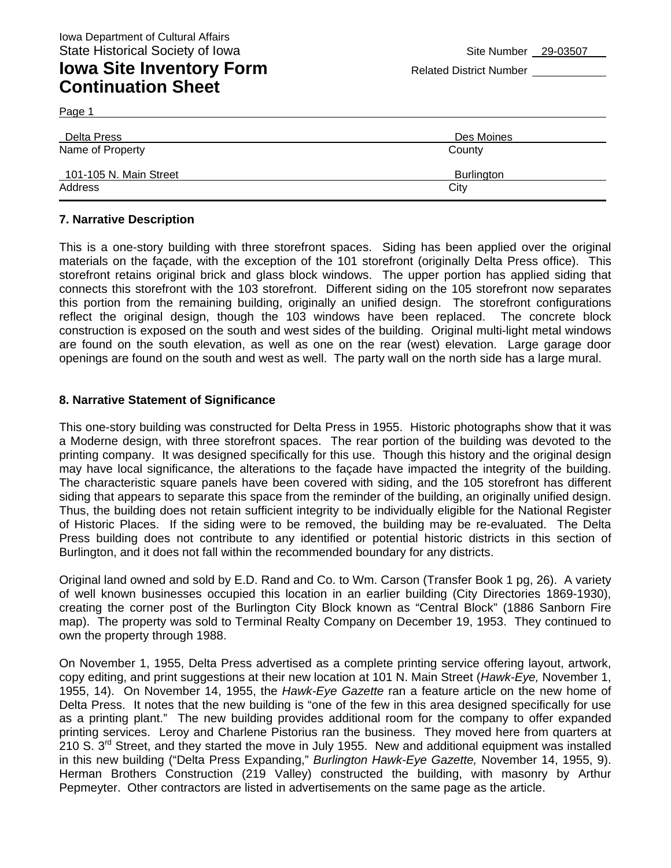## **Iowa Site Inventory Form** Related District Number **Related District Number Continuation Sheet**

Page 1

| Delta Press            | Des Moines |
|------------------------|------------|
| Name of Property       | County     |
| 101-105 N. Main Street | Burlington |
| Address                | City       |

#### **7. Narrative Description**

This is a one-story building with three storefront spaces. Siding has been applied over the original materials on the façade, with the exception of the 101 storefront (originally Delta Press office). This storefront retains original brick and glass block windows. The upper portion has applied siding that connects this storefront with the 103 storefront. Different siding on the 105 storefront now separates this portion from the remaining building, originally an unified design. The storefront configurations reflect the original design, though the 103 windows have been replaced. The concrete block construction is exposed on the south and west sides of the building. Original multi-light metal windows are found on the south elevation, as well as one on the rear (west) elevation. Large garage door openings are found on the south and west as well. The party wall on the north side has a large mural.

#### **8. Narrative Statement of Significance**

This one-story building was constructed for Delta Press in 1955. Historic photographs show that it was a Moderne design, with three storefront spaces. The rear portion of the building was devoted to the printing company. It was designed specifically for this use. Though this history and the original design may have local significance, the alterations to the façade have impacted the integrity of the building. The characteristic square panels have been covered with siding, and the 105 storefront has different siding that appears to separate this space from the reminder of the building, an originally unified design. Thus, the building does not retain sufficient integrity to be individually eligible for the National Register of Historic Places. If the siding were to be removed, the building may be re-evaluated. The Delta Press building does not contribute to any identified or potential historic districts in this section of Burlington, and it does not fall within the recommended boundary for any districts.

Original land owned and sold by E.D. Rand and Co. to Wm. Carson (Transfer Book 1 pg, 26). A variety of well known businesses occupied this location in an earlier building (City Directories 1869-1930), creating the corner post of the Burlington City Block known as "Central Block" (1886 Sanborn Fire map). The property was sold to Terminal Realty Company on December 19, 1953. They continued to own the property through 1988.

On November 1, 1955, Delta Press advertised as a complete printing service offering layout, artwork, copy editing, and print suggestions at their new location at 101 N. Main Street (*Hawk-Eye,* November 1, 1955, 14). On November 14, 1955, the *Hawk-Eye Gazette* ran a feature article on the new home of Delta Press. It notes that the new building is "one of the few in this area designed specifically for use as a printing plant." The new building provides additional room for the company to offer expanded printing services. Leroy and Charlene Pistorius ran the business. They moved here from quarters at 210 S. 3<sup>rd</sup> Street, and they started the move in July 1955. New and additional equipment was installed in this new building ("Delta Press Expanding," *Burlington Hawk-Eye Gazette,* November 14, 1955, 9). Herman Brothers Construction (219 Valley) constructed the building, with masonry by Arthur Pepmeyter. Other contractors are listed in advertisements on the same page as the article.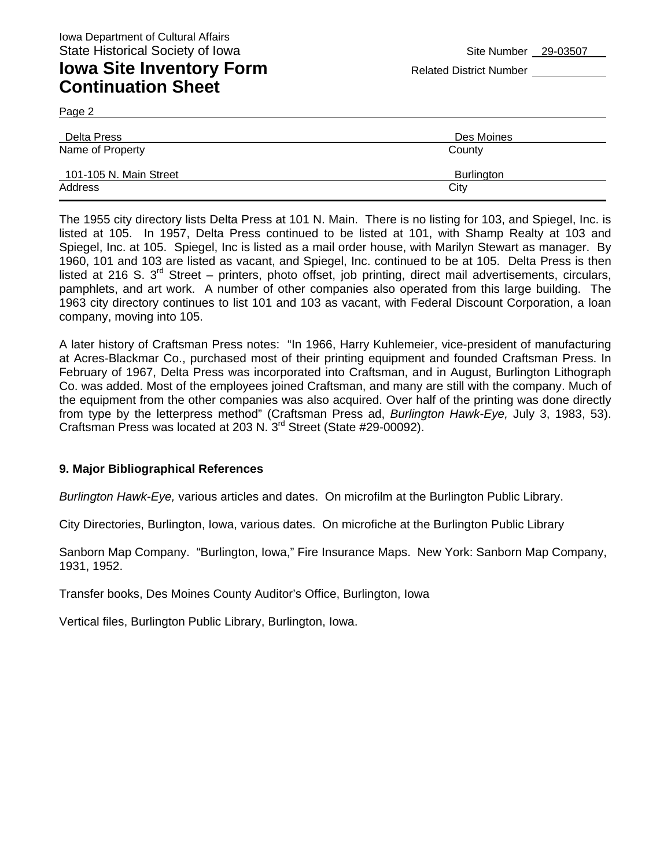Page 2

| Delta Press            | Des Moines |
|------------------------|------------|
| Name of Property       | County     |
| 101-105 N. Main Street | Burlington |
| Address                | City       |

The 1955 city directory lists Delta Press at 101 N. Main. There is no listing for 103, and Spiegel, Inc. is listed at 105. In 1957, Delta Press continued to be listed at 101, with Shamp Realty at 103 and Spiegel, Inc. at 105. Spiegel, Inc is listed as a mail order house, with Marilyn Stewart as manager. By 1960, 101 and 103 are listed as vacant, and Spiegel, Inc. continued to be at 105. Delta Press is then listed at 216 S. 3<sup>rd</sup> Street – printers, photo offset, job printing, direct mail advertisements, circulars, pamphlets, and art work. A number of other companies also operated from this large building. The 1963 city directory continues to list 101 and 103 as vacant, with Federal Discount Corporation, a loan company, moving into 105.

A later history of Craftsman Press notes: "In 1966, Harry Kuhlemeier, vice-president of manufacturing at Acres-Blackmar Co., purchased most of their printing equipment and founded Craftsman Press. In February of 1967, Delta Press was incorporated into Craftsman, and in August, Burlington Lithograph Co. was added. Most of the employees joined Craftsman, and many are still with the company. Much of the equipment from the other companies was also acquired. Over half of the printing was done directly from type by the letterpress method" (Craftsman Press ad, *Burlington Hawk-Eye,* July 3, 1983, 53). Craftsman Press was located at 203 N. 3rd Street (State #29-00092).

#### **9. Major Bibliographical References**

*Burlington Hawk-Eye,* various articles and dates. On microfilm at the Burlington Public Library.

City Directories, Burlington, Iowa, various dates. On microfiche at the Burlington Public Library

Sanborn Map Company. "Burlington, Iowa," Fire Insurance Maps. New York: Sanborn Map Company, 1931, 1952.

Transfer books, Des Moines County Auditor's Office, Burlington, Iowa

Vertical files, Burlington Public Library, Burlington, Iowa.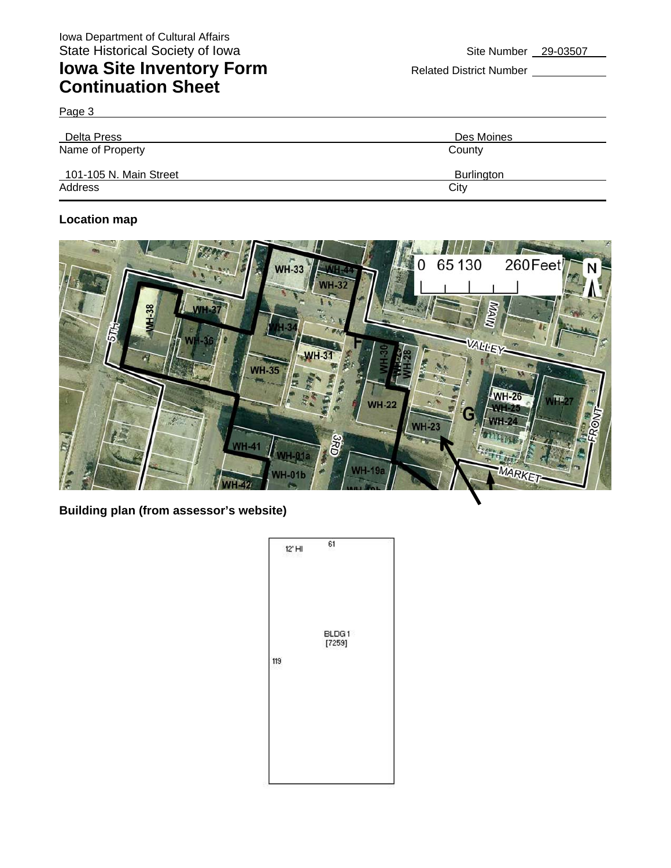# **Iowa Site Inventory Form** Related District Number **Related District Number Continuation Sheet**

Page 3

| Delta Press            | Des Moines |
|------------------------|------------|
| Name of Property       | County     |
| 101-105 N. Main Street | Burlington |
| Address                | City       |

## **Location map**



**Building plan (from assessor's website)** 

| 61<br>$12'$ HI  |  |
|-----------------|--|
| BLDG1<br>[7259] |  |
|                 |  |
|                 |  |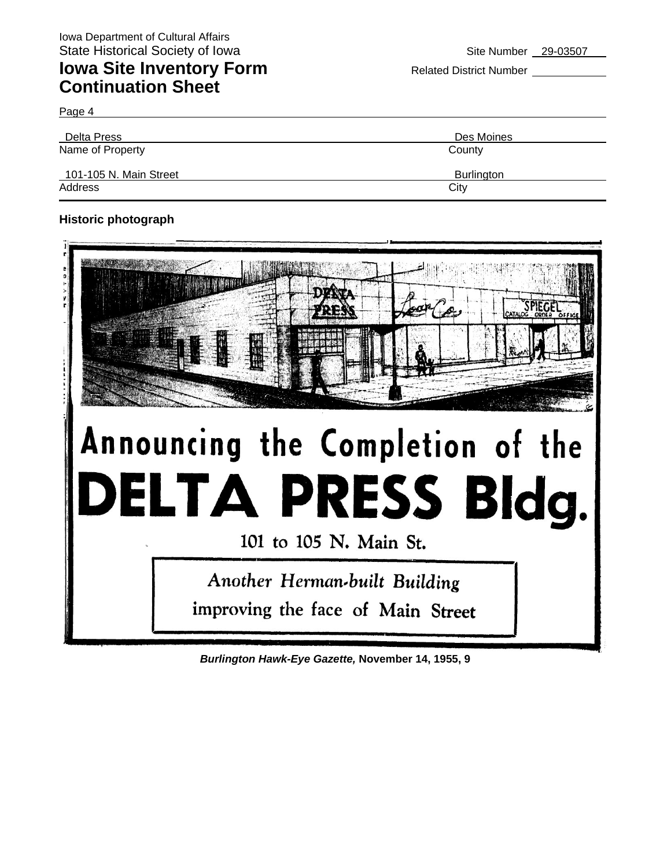Page 4

| Delta Press            | Des Moines        |
|------------------------|-------------------|
| Name of Property       | County            |
| 101-105 N. Main Street | <b>Burlington</b> |
| Address                | City              |

## **Historic photograph**



# Announcing the Completion of the LTA PRESS Bldg.

101 to 105 N. Main St.

Another Herman-built Building improving the face of Main Street

*Burlington Hawk-Eye Gazette,* **November 14, 1955, 9**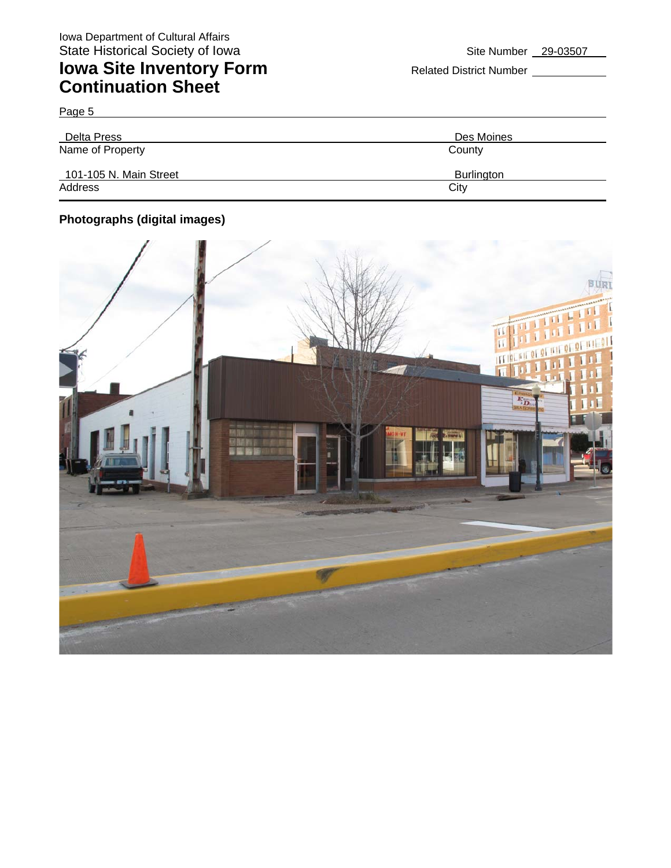Page 5

# **Iowa Site Inventory Form** Related District Number **Continuation Sheet**

| Delta Press            | Des Moines |
|------------------------|------------|
| Name of Property       | County     |
| 101-105 N. Main Street | Burlington |
| Address                | City       |

## **Photographs (digital images)**

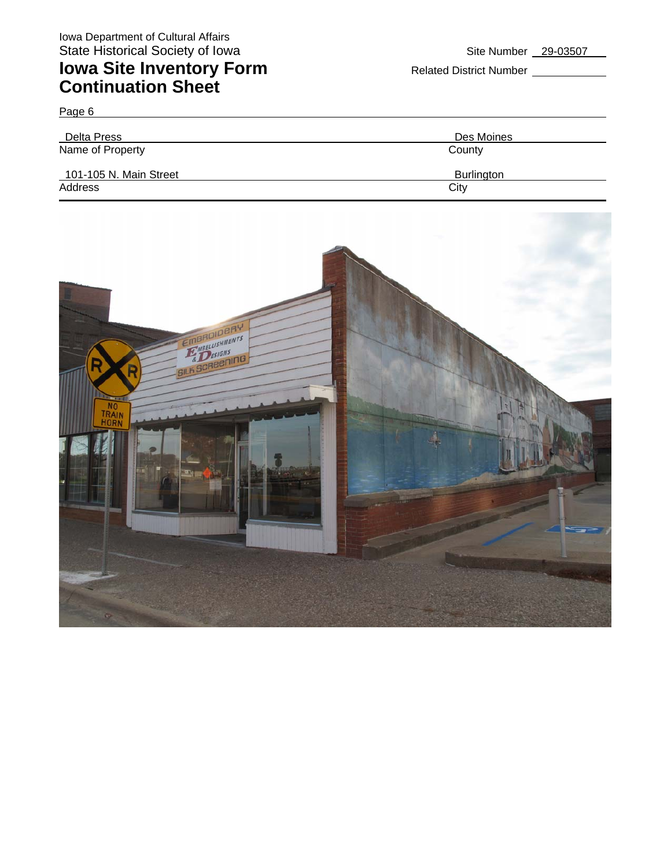Delta Press Des Moines Name of Property County 101-105 N. Main Street Burlington Burlington Address City **City Address** 



Page 6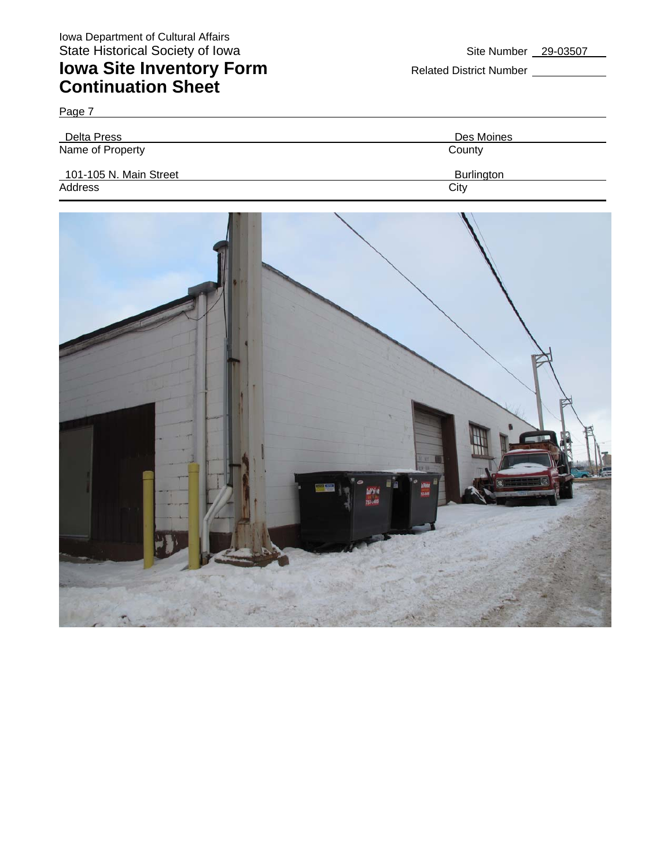Page 7

# **Iowa Site Inventory Form** Related District Number **Continuation Sheet**

|  | Site Number | 29-03507 |
|--|-------------|----------|
|--|-------------|----------|

| Delta Press            | Des Moines |
|------------------------|------------|
| Name of Property       | County     |
| 101-105 N. Main Street | Burlington |
| Address                | City       |